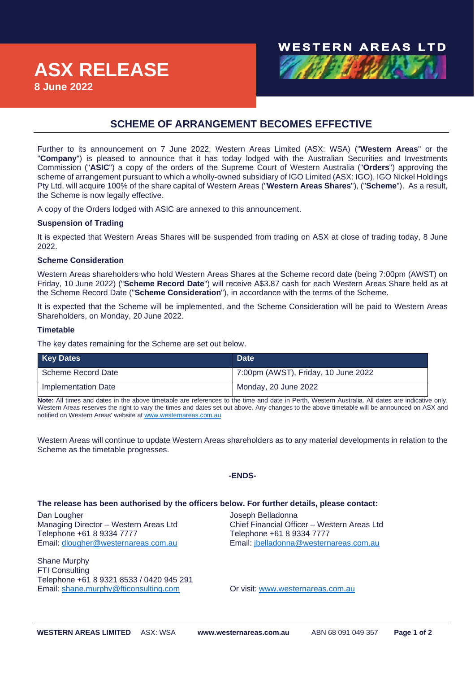# **NESTERN AREAS LTD**

# **SCHEME OF ARRANGEMENT BECOMES EFFECTIVE**

Further to its announcement on 7 June 2022, Western Areas Limited (ASX: WSA) ("**Western Areas**" or the "**Company**") is pleased to announce that it has today lodged with the Australian Securities and Investments Commission ("**ASIC**") a copy of the orders of the Supreme Court of Western Australia ("**Orders**") approving the scheme of arrangement pursuant to which a wholly-owned subsidiary of IGO Limited (ASX: IGO), IGO Nickel Holdings Pty Ltd, will acquire 100% of the share capital of Western Areas ("**Western Areas Shares**"), ("**Scheme**"). As a result, the Scheme is now legally effective.

A copy of the Orders lodged with ASIC are annexed to this announcement.

## **Suspension of Trading**

It is expected that Western Areas Shares will be suspended from trading on ASX at close of trading today, 8 June 2022.

## **Scheme Consideration**

Western Areas shareholders who hold Western Areas Shares at the Scheme record date (being 7:00pm (AWST) on Friday, 10 June 2022) ("**Scheme Record Date**") will receive A\$3.87 cash for each Western Areas Share held as at the Scheme Record Date ("**Scheme Consideration**"), in accordance with the terms of the Scheme.

It is expected that the Scheme will be implemented, and the Scheme Consideration will be paid to Western Areas Shareholders, on Monday, 20 June 2022.

### **Timetable**

The key dates remaining for the Scheme are set out below.

| <b>Key Dates</b>    | <b>Date</b>                         |
|---------------------|-------------------------------------|
| Scheme Record Date  | 7:00pm (AWST), Friday, 10 June 2022 |
| Implementation Date | Monday, 20 June 2022                |

**Note:** All times and dates in the above timetable are references to the time and date in Perth, Western Australia. All dates are indicative only. Western Areas reserves the right to vary the times and dates set out above. Any changes to the above timetable will be announced on ASX and notified on Western Areas' website at [www.westernareas.com.au.](http://www.westernareas.com.au/)

Western Areas will continue to update Western Areas shareholders as to any material developments in relation to the Scheme as the timetable progresses.

#### **-ENDS-**

#### **The release has been authorised by the officers below. For further details, please contact:**

Dan Lougher<br>Managing Director – Western Areas Ltd **Gramm Chief Financial Officer – Western Areas Ltd** Managing Director – Western Areas Ltd Telephone +61 8 9334 7777 Telephone +61 8 9334 7777

Shane Murphy FTI Consulting Telephone +61 8 9321 8533 / 0420 945 291 Email: [shane.murphy@fticonsulting.com](mailto:shane.murphy@fticonsulting.com) Or visit: [www.westernareas.com.au](http://www.westernareas.com.au/)

Email: [dlougher@westernareas.com.au](mailto:dlougher@westernareas.com.au) Email: [jbelladonna@westernareas.com.au](mailto:jbelladonna@westernareas.com.au)